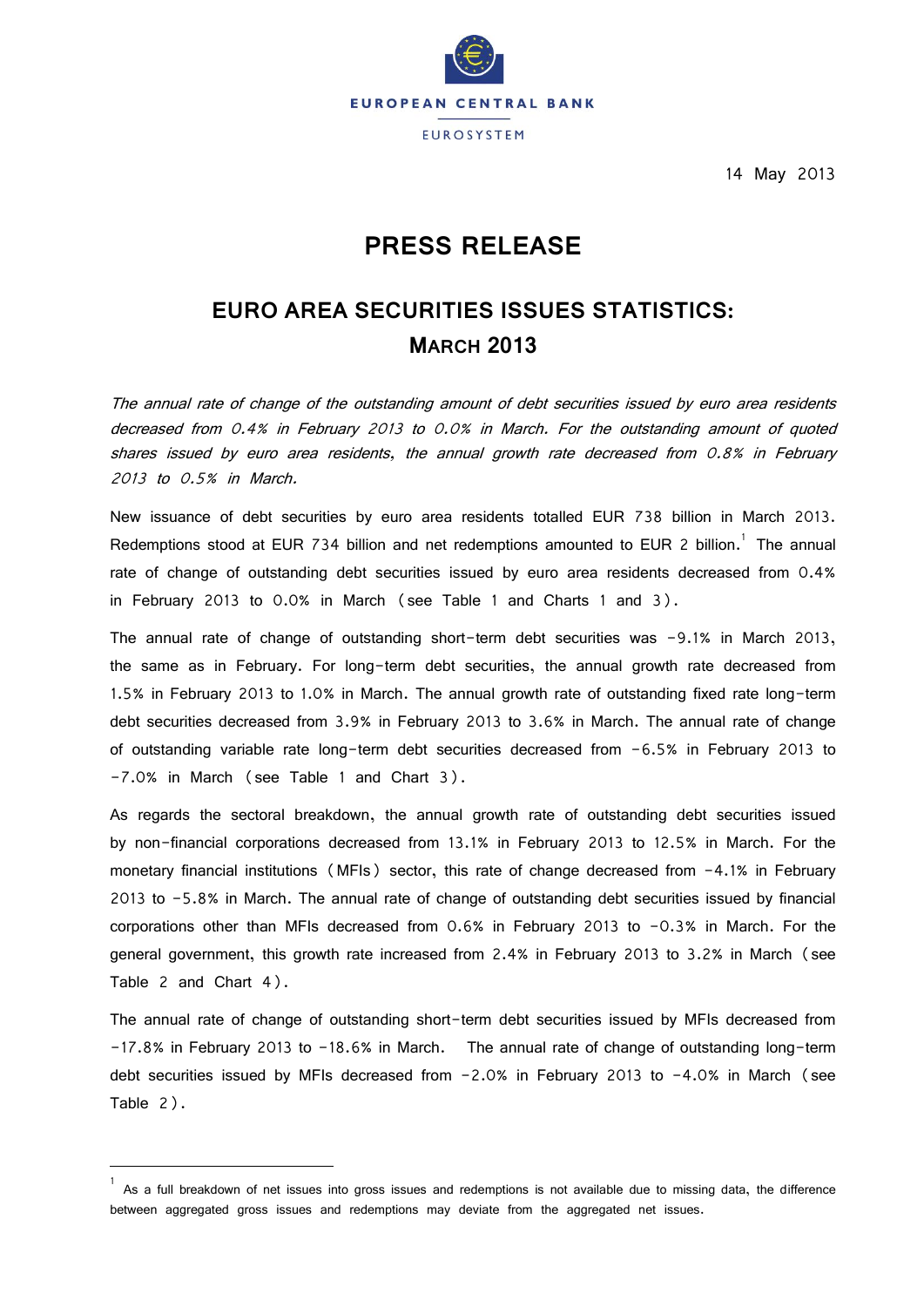

14 May 2013

# **PRESS RELEASE**

# **EURO AREA SECURITIES ISSUES STATISTICS: MARCH 2013**

The annual rate of change of the outstanding amount of debt securities issued by euro area residents decreased from 0.4% in February 2013 to 0.0% in March. For the outstanding amount of quoted shares issued by euro area residents, the annual growth rate decreased from 0.8% in February 2013 to 0.5% in March.

New issuance of debt securities by euro area residents totalled EUR 738 billion in March 2013. Redemptions stood at EUR 734 billion and net redemptions amounted to EUR 2 billion.<sup>1</sup> The annual rate of change of outstanding debt securities issued by euro area residents decreased from 0.4% in February 2013 to 0.0% in March (see Table 1 and Charts 1 and 3).

The annual rate of change of outstanding short-term debt securities was -9.1% in March 2013, the same as in February. For long-term debt securities, the annual growth rate decreased from 1.5% in February 2013 to 1.0% in March. The annual growth rate of outstanding fixed rate long-term debt securities decreased from 3.9% in February 2013 to 3.6% in March. The annual rate of change of outstanding variable rate long-term debt securities decreased from -6.5% in February 2013 to -7.0% in March (see Table 1 and Chart 3).

As regards the sectoral breakdown, the annual growth rate of outstanding debt securities issued by non-financial corporations decreased from 13.1% in February 2013 to 12.5% in March. For the monetary financial institutions (MFIs) sector, this rate of change decreased from -4.1% in February 2013 to -5.8% in March. The annual rate of change of outstanding debt securities issued by financial corporations other than MFIs decreased from 0.6% in February 2013 to -0.3% in March. For the general government, this growth rate increased from 2.4% in February 2013 to 3.2% in March (see Table 2 and Chart 4).

The annual rate of change of outstanding short-term debt securities issued by MFIs decreased from -17.8% in February 2013 to -18.6% in March. The annual rate of change of outstanding long-term debt securities issued by MFIs decreased from -2.0% in February 2013 to -4.0% in March (see Table 2).

 $\overline{\phantom{a}}$ 

<sup>1</sup> As a full breakdown of net issues into gross issues and redemptions is not available due to missing data, the difference between aggregated gross issues and redemptions may deviate from the aggregated net issues.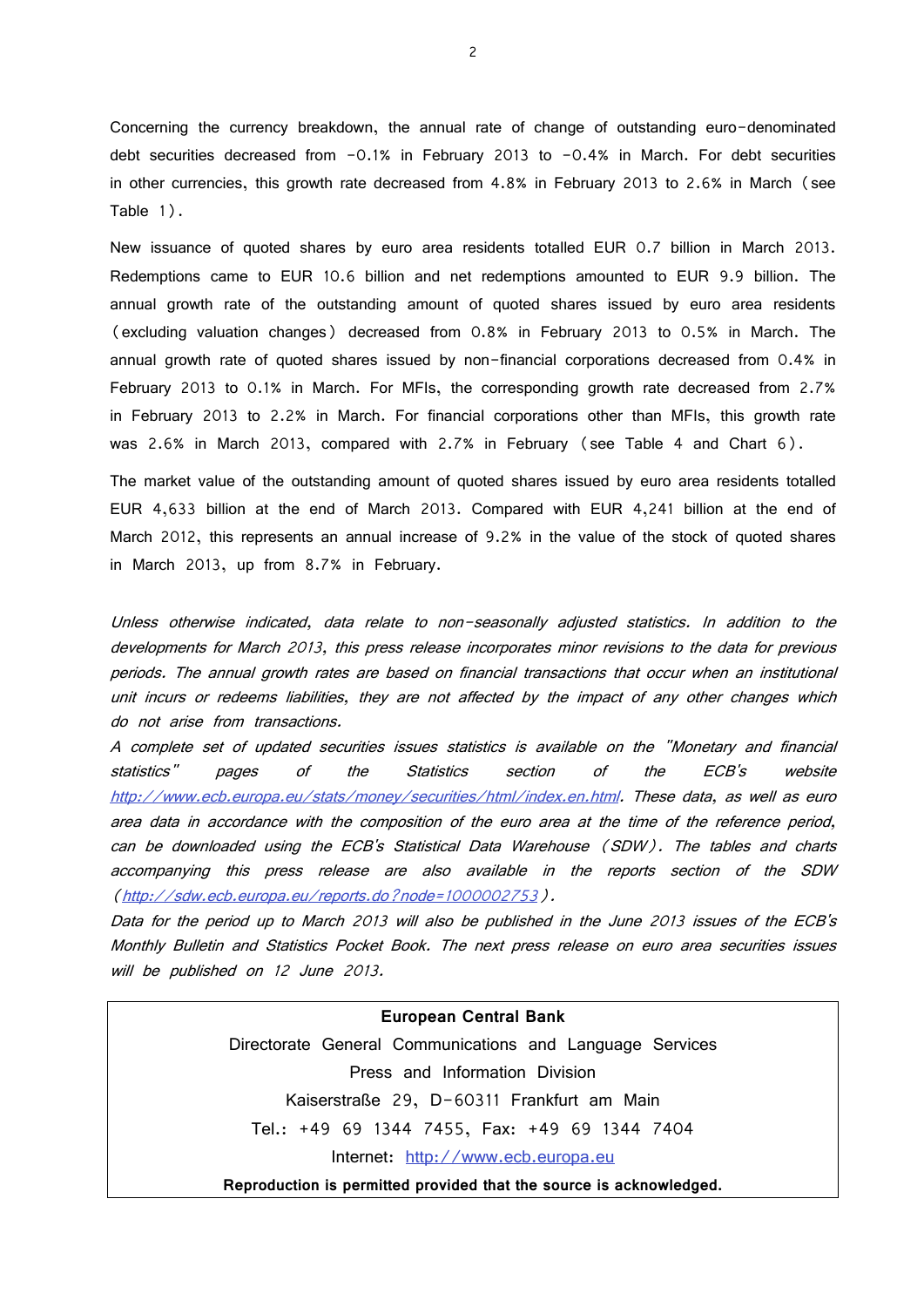Concerning the currency breakdown, the annual rate of change of outstanding euro-denominated debt securities decreased from -0.1% in February 2013 to -0.4% in March. For debt securities in other currencies, this growth rate decreased from 4.8% in February 2013 to 2.6% in March (see Table 1).

New issuance of quoted shares by euro area residents totalled EUR 0.7 billion in March 2013. Redemptions came to EUR 10.6 billion and net redemptions amounted to EUR 9.9 billion. The annual growth rate of the outstanding amount of quoted shares issued by euro area residents (excluding valuation changes) decreased from 0.8% in February 2013 to 0.5% in March. The annual growth rate of quoted shares issued by non-financial corporations decreased from 0.4% in February 2013 to 0.1% in March. For MFIs, the corresponding growth rate decreased from 2.7% in February 2013 to 2.2% in March. For financial corporations other than MFIs, this growth rate was 2.6% in March 2013, compared with 2.7% in February (see Table 4 and Chart 6).

The market value of the outstanding amount of quoted shares issued by euro area residents totalled EUR 4,633 billion at the end of March 2013. Compared with EUR 4,241 billion at the end of March 2012, this represents an annual increase of 9.2% in the value of the stock of quoted shares in March 2013, up from 8.7% in February.

Unless otherwise indicated, data relate to non-seasonally adjusted statistics. In addition to the developments for March 2013, this press release incorporates minor revisions to the data for previous periods. The annual growth rates are based on financial transactions that occur when an institutional unit incurs or redeems liabilities, they are not affected by the impact of any other changes which do not arise from transactions.

A complete set of updated securities issues statistics is available on the "Monetary and financial statistics" pages of the Statistics section of the ECB's website [http://www.ecb.europa.eu/stats/money/securities/html/index.en.html.](http://www.ecb.europa.eu/stats/money/securities/html/index.en.html) These data, as well as euro area data in accordance with the composition of the euro area at the time of the reference period, can be downloaded using the ECB's Statistical Data Warehouse (SDW). The tables and charts accompanying this press release are also available in the reports section of the SDW [\(http://sdw.ecb.europa.eu/reports.do?node=1000002753\)](http://sdw.ecb.europa.eu/reports.do?node=1000002753).

Data for the period up to March 2013 will also be published in the June 2013 issues of the ECB's Monthly Bulletin and Statistics Pocket Book. The next press release on euro area securities issues will be published on 12 June 2013.

#### **European Central Bank**

Directorate General Communications and Language Services Press and Information Division Kaiserstraße 29, D-60311 Frankfurt am Main Tel.: +49 69 1344 7455, Fax: +49 69 1344 7404 Internet: [http://www.ecb.europa.eu](http://www.ecb.europa.eu/)

**Reproduction is permitted provided that the source is acknowledged.**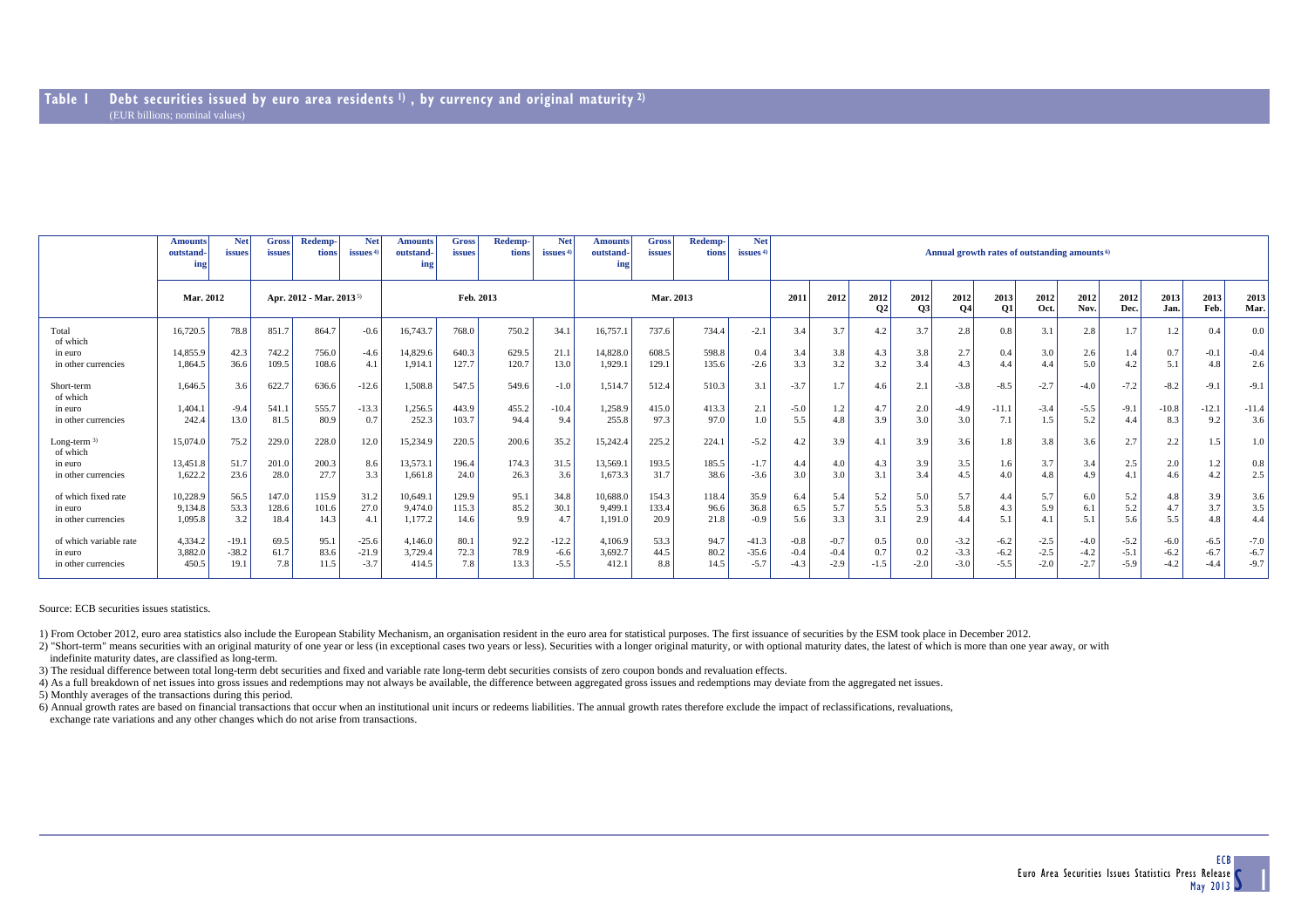|                                                          | <b>Amounts</b><br>outstand-<br>ing | <b>Net</b><br><i>issues</i> | <b>Gross</b><br>issues              | Redemp-<br><b>tions</b> | <b>Net</b><br>issues <sup>4</sup> | <b>Amounts</b><br>outstand-<br>ing | <b>Gross</b><br><i>issues</i> | Redemp-<br>tions     | <b>Net</b><br>issues $4$    | <b>Amounts</b><br>outstand-<br>ing | Gross<br>issues        | Redemp-<br>tions      | <b>Net</b><br>issues <sup>4</sup> | Annual growth rates of outstanding amounts <sup>6)</sup> |                              |                   |                      |                            |                            |                            |                            |                            |                            |                            |                            |  |  |  |
|----------------------------------------------------------|------------------------------------|-----------------------------|-------------------------------------|-------------------------|-----------------------------------|------------------------------------|-------------------------------|----------------------|-----------------------------|------------------------------------|------------------------|-----------------------|-----------------------------------|----------------------------------------------------------|------------------------------|-------------------|----------------------|----------------------------|----------------------------|----------------------------|----------------------------|----------------------------|----------------------------|----------------------------|----------------------------|--|--|--|
|                                                          | Mar. 2012                          |                             | Apr. 2012 - Mar. 2013 <sup>5)</sup> |                         | Feb. 2013                         |                                    |                               |                      | Mar. 2013                   |                                    |                        |                       | 2011                              | 2012                                                     | 2012<br><b>O<sub>2</sub></b> | 2012<br> 03       | 2012<br><b>O4</b>    | 2013<br><b>O1</b>          | 2012<br>Oct.               | 2012<br>Nov.               | 2012<br>Dec.               | 2013<br>Jan.               | 2013<br>Feb.               | 2013<br>Mar.               |                            |  |  |  |
| Total<br>of which                                        | 16,720.5                           | 78.8                        | 851.7                               | 864.7                   | $-0.6$                            | 16,743.7                           | 768.0                         | 750.2                | 34.1                        | 16,757.                            | 737.6                  | 734.4                 | $-2.1$                            | 3.4                                                      | 3.7                          | 4.2               | 3.7                  | 2.8                        | 0.8                        | 3.1                        | 2.8                        | 1.7                        | 1.2                        | 0.4                        | 0.0                        |  |  |  |
| in euro<br>in other currencies                           | 14,855.9<br>1.864.5                | 42.3<br>36.6                | 742.2<br>109.5                      | 756.0<br>108.6          | $-4.6$<br>4.1                     | 14,829.6<br>1,914.1                | 640.3<br>127.7                | 629.5<br>120.7       | 21.1<br>13.0                | 14,828.0<br>1,929.                 | 608.5<br>129.1         | 598.8<br>135.6        | 0.4<br>$-2.6$                     | 3.4<br>3.3                                               | 3.8<br>3.2                   | 4.3<br>3.2        | 3.8<br>3.4           | 2.7<br>4.3                 | 0.4<br>4.4                 | 3.0<br>4.4                 | 2.6<br>5.0                 | 1.4<br>4.2                 | 0.7<br>5.1                 | $-0.1$<br>4.8              | $-0.4$<br>2.6              |  |  |  |
| Short-term<br>of which                                   | 1,646.5                            | 3.6                         | 622.7                               | 636.6                   | $-12.6$                           | 1,508.8                            | 547.5                         | 549.6                | $-1.0$                      | 1,514.7                            | 512.4                  | 510.3                 | 3.1                               | $-3.7$                                                   | 1.7                          | 4.6               | 2.1                  | $-3.8$                     | $-8.5$                     | $-2.7$                     | $-4.0$                     | $-7.2$                     | $-8.2$                     | $-9.1$                     | $-9.1$                     |  |  |  |
| in euro<br>in other currencies                           | 1.404.1<br>242.4                   | $-9.4$<br>13.0              | 541.1<br>81.5                       | 555.7<br>80.9           | $-13.3$<br>0.7                    | 1,256.5<br>252.3                   | 443.9<br>103.7                | 455.2<br>94.4        | $-10.4$<br>9.4              | 1.258.9<br>255.8                   | 415.0<br>97.3          | 413.3<br>97.0         | 2.1<br>1.0                        | $-5.0$<br>5.5                                            | 1.2<br>4.8                   | 4.7<br>3.9        | 2.0<br>3.0           | $-4.9$<br>3.0              | $-11.1$<br>7.1             | $-3.4$<br>1.5              | $-5.5$<br>5.2              | $-9.1$<br>4.4              | $-10.8$<br>8.3             | $-12.1$<br>9.2             | $-11.4$<br>3.6             |  |  |  |
| Long-term $3)$<br>of which                               | 15,074.0                           | 75.2                        | 229.0                               | 228.0                   | 12.0                              | 15,234.9                           | 220.5                         | 200.6                | 35.2                        | 15,242.4                           | 225.2                  | 224.                  | $-5.2$                            | 4.2                                                      | 3.9                          | 4.1               | 3.9                  | 3.6                        | 1.8                        | 3.8                        | 3.6                        | 2.7                        | 2.2                        | 1.5                        | 1.0                        |  |  |  |
| in euro<br>in other currencies                           | 13,451.8<br>1,622.2                | 51.7<br>23.6                | 201.0<br>28.0                       | 200.3<br>27.7           | 8.6<br>3.3                        | 13,573.1<br>1,661.8                | 196.4<br>24.0                 | 174.3<br>26.3        | 31.5<br>3.6                 | 13,569.1<br>1,673.3                | 193.5<br>31.7          | 185.5<br>38.6         | $-1.7$<br>$-3.6$                  | 4.4<br>3.0                                               | 4.0<br>3.0                   | 4.3<br>3.1        | 3.9<br>3.4           | 3.5<br>4.5                 | 1.6<br>4.0                 | 3.7<br>4.8                 | 3.4<br>4.9                 | 2.5<br>4.1                 | 2.0<br>4.6                 | 1.2<br>4.2                 | 0.8<br>2.5                 |  |  |  |
| of which fixed rate<br>in euro<br>in other currencies    | 10,228.9<br>9,134.8<br>1,095.8     | 56.5<br>53.3<br>3.2         | 147.0<br>128.6<br>18.4              | 115.9<br>101.6<br>14.3  | 31.2<br>27.0<br>4.1               | 10,649.1<br>9,474.0<br>1,177.2     | 129.9<br>115.3<br>14.6        | 95.1<br>85.2<br>9.9  | 34.8<br>30.1<br>4.7         | 10,688.0<br>9,499.<br>1,191.0      | 154.3<br>133.4<br>20.9 | 118.4<br>96.6<br>21.8 | 35.9<br>36.8<br>$-0.9$            | 6.4<br>6.5<br>5.6                                        | 5.4<br>5.7<br>3.3            | 5.2<br>5.5<br>3.1 | 5.0<br>5.3<br>2.9    | 5.7<br>5.8<br>4.4          | 4.4<br>4.3<br>5.1          | 5.7<br>5.9<br>4.1          | 6.0<br>6.1<br>5.1          | 5.2<br>5.2<br>5.6          | 4.8<br>4.7<br>5.5          | 3.9<br>3.7<br>4.8          | 3.6<br>3.5<br>4.4          |  |  |  |
| of which variable rate<br>in euro<br>in other currencies | 4,334.2<br>3.882.0<br>450.5        | $-19.1$<br>$-38.2$<br>19.1  | 69.5<br>61.7<br>7.8                 | 95.1<br>83.6<br>11.5    | $-25.6$<br>$-21.9$<br>$-3.7$      | 4,146.0<br>3,729.4<br>414.5        | 80.1<br>72.3<br>7.8           | 92.2<br>78.9<br>13.3 | $-12.2$<br>$-6.6$<br>$-5.5$ | 4,106.9<br>3.692.7<br>412.1        | 53.3<br>44.5<br>8.8    | 94.7<br>80.2<br>14.5  | $-41.3$<br>$-35.6$<br>$-5.7$      | $-0.8$<br>$-0.4$<br>$-4.3$                               | $-0.7$<br>$-0.4$<br>$-2.9$   | 0.5<br>0.7        | 0.0<br>0.2<br>$-2.0$ | $-3.2$<br>$-3.3$<br>$-3.0$ | $-6.2$<br>$-6.2$<br>$-5.5$ | $-2.5$<br>$-2.5$<br>$-2.0$ | $-4.0$<br>$-4.2$<br>$-2.7$ | $-5.2$<br>$-5.1$<br>$-5.9$ | $-6.0$<br>$-6.2$<br>$-4.2$ | $-6.5$<br>$-6.7$<br>$-4.4$ | $-7.0$<br>$-6.7$<br>$-9.7$ |  |  |  |

Source: ECB securities issues statistics.

1) From October 2012, euro area statistics also include the European Stability Mechanism, an organisation resident in the euro area for statistical purposes. The first issuance of securities by the ESM took place in Decemb

2) "Short-term" means securities with an original maturity of one year or less (in exceptional cases two years or less). Securities with a longer original maturity, or with optional maturity dates, the latest of which is m

indefinite maturity dates, are classified as long-term.

3) The residual difference between total long-term debt securities and fixed and variable rate long-term debt securities consists of zero coupon bonds and revaluation effects.

4) As a full breakdown of net issues into gross issues and redemptions may not always be available, the difference between aggregated gross issues and redemptions may deviate from the aggregated net issues.

5) Monthly averages of the transactions during this period.

6) Annual growth rates are based on financial transactions that occur when an institutional unit incurs or redeems liabilities. The annual growth rates therefore exclude the impact of reclassifications, revaluations,

exchange rate variations and any other changes which do not arise from transactions.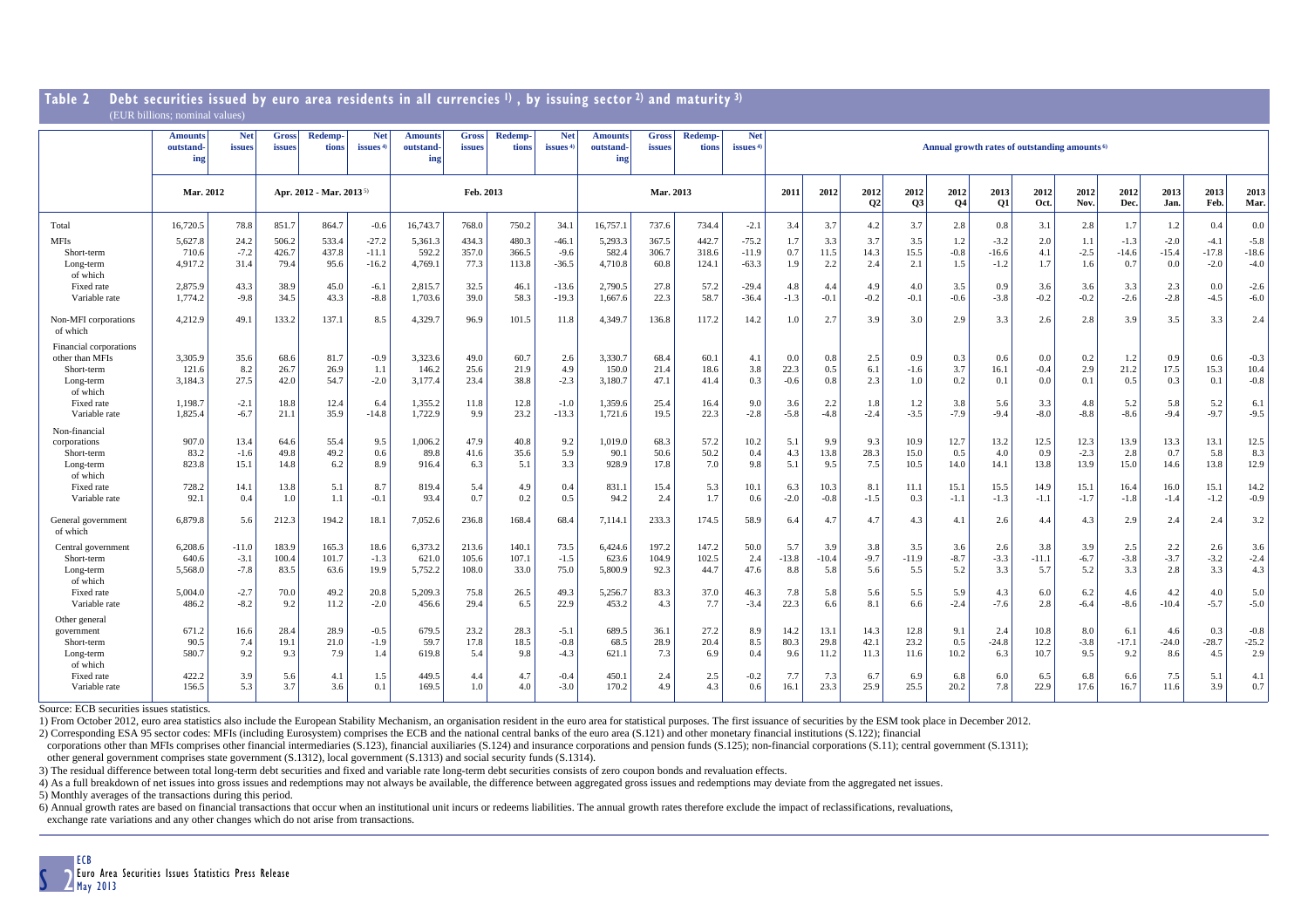| Table <i>L</i>                                                                                 | vedt securities issued by euro area residents in all currencies <b>v</b> , by issuing sector 4 and maturity <sup>3</sup><br>(EUR billions: nominal values) |                               |                                     |                              |                                |                                        |                              |                              |                                   |                                           |                              |                              |                               |                              |                          |                          |                             |                                                          |                             |                             |                          |                           |                           |                             |                                 |
|------------------------------------------------------------------------------------------------|------------------------------------------------------------------------------------------------------------------------------------------------------------|-------------------------------|-------------------------------------|------------------------------|--------------------------------|----------------------------------------|------------------------------|------------------------------|-----------------------------------|-------------------------------------------|------------------------------|------------------------------|-------------------------------|------------------------------|--------------------------|--------------------------|-----------------------------|----------------------------------------------------------|-----------------------------|-----------------------------|--------------------------|---------------------------|---------------------------|-----------------------------|---------------------------------|
|                                                                                                | <b>Amounts</b><br>outstand-<br>ing                                                                                                                         | <b>Net</b><br>issues          | <b>Gross</b><br>issues              | <b>Redemp-</b><br>tions      | <b>Net</b><br><i>issues</i>    | <b>Amounts</b><br>outstand-<br>ing     | Gross<br>issues              | Redemp-<br>tions             | <b>Net</b><br>issues <sup>4</sup> | <b>Amounts</b><br><b>outstand-</b><br>ing | <b>Gross</b><br>issues       | <b>Redemp-</b><br>tions      | <b>Net</b><br>issues $4$      |                              |                          |                          |                             | Annual growth rates of outstanding amounts <sup>6)</sup> |                             |                             |                          |                           |                           |                             |                                 |
|                                                                                                | Mar. 2012                                                                                                                                                  |                               | Apr. 2012 - Mar. 2013 <sup>5)</sup> |                              |                                | Feb. 2013                              |                              |                              |                                   | Mar. 2013                                 |                              |                              | 2011                          | 2012                         | 2012<br>Q <sub>2</sub>   | 2012<br>Q3               | 2012<br>Q <sub>4</sub>      | 2013<br>Q1                                               | 2012<br>Oct.                | 2012<br>Nov.                | 2012<br>Dec.             | 2013<br>Jan.              | 2013<br>Feb.              | 2013<br>Mar.                |                                 |
| Total                                                                                          | 16,720.5                                                                                                                                                   | 78.8                          | 851.7                               | 864.7                        | $-0.6$                         | 16,743.7                               | 768.0                        | 750.2                        | 34.1                              | 16,757.1                                  | 737.6                        | 734.4                        | $-2.1$                        | 3.4                          | 3.7                      | 4.2                      | 3.7                         | 2.8                                                      | 0.8                         | 3.1                         | 2.8                      | 1.7                       | 1.2                       | 0.4                         | $0.0\,$                         |
| <b>MFIs</b><br>Short-term<br>Long-term<br>of which                                             | 5,627.8<br>710.6<br>4,917.2                                                                                                                                | 24.2<br>$-7.2$<br>31.4        | 506.2<br>426.7<br>79.4              | 533.4<br>437.8<br>95.6       | $-27.2$<br>$-11.1$<br>$-16.2$  | 5,361.3<br>592.2<br>4,769.1            | 434.3<br>357.0<br>77.3       | 480.3<br>366.5<br>113.8      | $-46.1$<br>$-9.6$<br>$-36.5$      | 5,293.3<br>582.4<br>4,710.8               | 367.5<br>306.7<br>60.8       | 442.7<br>318.6<br>124.1      | $-75.2$<br>$-11.9$<br>$-63.3$ | 1.7<br>0.7<br>1.9            | 3.3<br>11.5<br>2.2       | 3.7<br>14.3<br>2.4       | 3.5<br>15.5<br>2.1          | 1.2<br>$-0.8$<br>1.5                                     | $-3.2$<br>$-16.6$<br>$-1.2$ | 2.0<br>4.1<br>1.7           | 1.1<br>$-2.5$<br>1.6     | $-1.3$<br>$-14.6$<br>0.7  | $-2.0$<br>$-15.4$<br>0.0  | $-4.1$<br>$-17.8$<br>$-2.0$ | $-5.8$<br>$-18.6$<br>$-4.0$     |
| Fixed rate<br>Variable rate                                                                    | 2,875.9<br>1,774.2                                                                                                                                         | 43.3<br>$-9.8$                | 38.9<br>34.5                        | 45.0<br>43.3                 | $-6.1$<br>$-8.8$               | 2,815.7<br>1,703.6                     | 32.5<br>39.0                 | 46.1<br>58.3                 | $-13.6$<br>$-19.3$                | 2,790.5<br>1.667.6                        | 27.8<br>22.3                 | 57.2<br>58.7                 | $-29.4$<br>$-36.4$            | 4.8<br>$-1.3$                | 4.4<br>$-0.1$            | 4.9<br>$-0.2$            | 4.0<br>$-0.1$               | 3.5<br>$-0.6$                                            | 0.9<br>$-3.8$               | 3.6<br>$-0.2$               | 3.6<br>$-0.2$            | 3.3<br>$-2.6$             | 2.3<br>$-2.8$             | 0.0<br>$-4.5$               | $-2.6$<br>$-6.0$                |
| Non-MFI corporations<br>of which                                                               | 4,212.9                                                                                                                                                    | 49.1                          | 133.2                               | 137.1                        | 8.5                            | 4,329.7                                | 96.9                         | 101.5                        | 11.8                              | 4.349.7                                   | 136.8                        | 117.2                        | 14.2                          | 1.0                          | 2.7                      | 3.9                      | 3.0                         | 2.9                                                      | 3.3                         | 2.6                         | 2.8                      | 3.9                       | 3.5                       | 3.3                         | 2.4                             |
| Financial corporations<br>other than MFIs<br>Short-term<br>Long-term<br>of which<br>Fixed rate | 3.305.9<br>121.6<br>3,184.3<br>1,198.7                                                                                                                     | 35.6<br>8.2<br>27.5<br>$-2.1$ | 68.6<br>26.7<br>42.0<br>18.8        | 81.7<br>26.9<br>54.7<br>12.4 | $-0.9$<br>1.1<br>$-2.0$<br>6.4 | 3,323.6<br>146.2<br>3,177.4<br>1,355.2 | 49.0<br>25.6<br>23.4<br>11.8 | 60.7<br>21.9<br>38.8<br>12.8 | 2.6<br>4.9<br>$-2.3$<br>$-1.0$    | 3.330.7<br>150.0<br>3.180.7<br>1.359.6    | 68.4<br>21.4<br>47.1<br>25.4 | 60.1<br>18.6<br>41.4<br>16.4 | 4.1<br>3.8<br>0.3<br>9.0      | 0.0<br>22.3<br>$-0.6$<br>3.6 | 0.8<br>0.5<br>0.8<br>2.2 | 2.5<br>6.1<br>2.3<br>1.8 | 0.9<br>$-1.6$<br>1.0<br>1.2 | 0.3<br>3.7<br>0.2<br>3.8                                 | 0.6<br>16.1<br>0.1<br>5.6   | 0.0<br>$-0.4$<br>0.0<br>3.3 | 0.2<br>2.9<br>0.1<br>4.8 | 1.2<br>21.2<br>0.5<br>5.2 | 0.9<br>17.5<br>0.3<br>5.8 | 0.6<br>15.3<br>0.1<br>5.2   | $-0.3$<br>10.4<br>$-0.8$<br>6.1 |
| Variable rate                                                                                  | 1.825.4                                                                                                                                                    | $-6.7$                        | 21.1                                | 35.9                         | $-14.8$                        | 1,722.9                                | 9.9                          | 23.2                         | $-13.3$                           | 1,721.6                                   | 19.5                         | 22.3                         | $-2.8$                        | $-5.8$                       | $-4.8$                   | $-2.4$                   | $-3.5$                      | $-7.9$                                                   | $-9.4$                      | $-8.0$                      | $-8.8$                   | $-8.6$                    | $-9.4$                    | $-9.7$                      | $-9.5$                          |
| Non-financial<br>corporations<br>Short-term<br>Long-term<br>of which                           | 907.0<br>83.2<br>823.8                                                                                                                                     | 13.4<br>$-1.6$<br>15.1        | 64.6<br>49.8<br>14.8                | 55.4<br>49.2<br>6.2          | 9.5<br>0.6<br>8.9              | 1,006.2<br>89.8<br>916.4               | 47.9<br>41.6<br>6.3          | 40.8<br>35.6<br>5.1          | 9.2<br>5.9<br>3.3                 | 1,019.0<br>90.1<br>928.9                  | 68.3<br>50.6<br>17.8         | 57.2<br>50.2<br>7.0          | 10.2<br>0.4<br>9.8            | 5.1<br>4.3<br>5.1            | 9.9<br>13.8<br>9.5       | 9.3<br>28.3<br>7.5       | 10.9<br>15.0<br>10.5        | 12.7<br>0.5<br>14.0                                      | 13.2<br>4.0<br>14.1         | 12.5<br>0.9<br>13.8         | 12.3<br>$-2.3$<br>13.9   | 13.9<br>2.8<br>15.0       | 13.3<br>0.7<br>14.6       | 13.1<br>5.8<br>13.8         | 12.5<br>8.3<br>12.9             |
| Fixed rate<br>Variable rate                                                                    | 728.2<br>92.1                                                                                                                                              | 14.1<br>0.4                   | 13.8<br>1.0                         | 5.1<br>1.1                   | 8.7<br>$-0.1$                  | 819.4<br>93.4                          | 5.4<br>0.7                   | 4.9<br>0.2                   | 0.4<br>0.5                        | 831.1<br>94.2                             | 15.4<br>2.4                  | 5.3<br>1.7                   | 10.1<br>0.6                   | 6.3<br>$-2.0$                | 10.3<br>$-0.8$           | 8.1<br>$-1.5$            | 11.1<br>0.3                 | 15.1<br>$-1.1$                                           | 15.5<br>$-1.3$              | 14.9<br>$-1.1$              | 15.1<br>$-1.7$           | 16.4<br>$-1.8$            | 16.0<br>$-1.4$            | 15.1<br>$-1.2$              | 14.2<br>$-0.9$                  |
| General government<br>of which                                                                 | 6,879.8                                                                                                                                                    | 5.6                           | 212.3                               | 194.2                        | 18.1                           | 7,052.6                                | 236.8                        | 168.4                        | 68.4                              | 7,114.1                                   | 233.3                        | 174.5                        | 58.9                          | 6.4                          | 4.7                      | 4.7                      | 4.3                         | 4.1                                                      | 2.6                         | 4.4                         | 4.3                      | 2.9                       | 2.4                       | 2.4                         | 3.2                             |
| Central government<br>Short-term<br>Long-term<br>of which                                      | 6,208.6<br>640.6<br>5,568.0                                                                                                                                | $-11.0$<br>$-3.1$<br>$-7.8$   | 183.9<br>100.4<br>83.5              | 165.3<br>101.7<br>63.6       | 18.6<br>$-1.3$<br>19.9         | 6,373.2<br>621.0<br>5,752.2            | 213.6<br>105.6<br>108.0      | 140.1<br>107.1<br>33.0       | 73.5<br>$-1.5$<br>75.0            | 6,424.6<br>623.6<br>5,800.9               | 197.2<br>104.9<br>92.3       | 147.2<br>102.5<br>44.7       | 50.0<br>2.4<br>47.6           | 5.7<br>$-13.8$<br>8.8        | 3.9<br>$-10.4$<br>5.8    | 3.8<br>$-9.7$<br>5.6     | 3.5<br>$-11.9$<br>5.5       | 3.6<br>$-8.7$<br>5.2                                     | 2.6<br>$-3.3$<br>3.3        | 3.8<br>$-11.1$<br>5.7       | 3.9<br>$-6.7$<br>5.2     | 2.5<br>$-3.8$<br>3.3      | 2.2<br>$-3.7$<br>2.8      | 2.6<br>$-3.2$<br>3.3        | 3.6<br>$-2.4$<br>4.3            |
| Fixed rate<br>Variable rate                                                                    | 5,004.0<br>486.2                                                                                                                                           | $-2.7$<br>$-8.2$              | 70.0<br>9.2                         | 49.2<br>11.2                 | 20.8<br>$-2.0$                 | 5,209.3<br>456.6                       | 75.8<br>29.4                 | 26.5<br>6.5                  | 49.3<br>22.9                      | 5,256.7<br>453.2                          | 83.3<br>4.3                  | 37.0<br>7.7                  | 46.3<br>$-3.4$                | 7.8<br>22.3                  | 5.8<br>6.6               | 5.6<br>8.1               | 5.5<br>6.6                  | 5.9<br>$-2.4$                                            | 4.3<br>$-7.6$               | 6.0<br>2.8                  | 6.2<br>$-6.4$            | 4.6<br>$-8.6$             | 4.2<br>$-10.4$            | 4.0<br>$-5.7$               | 5.0<br>$-5.0$                   |
| Other general<br>government<br>Short-term<br>Long-term                                         | 671.2<br>90.5<br>580.7                                                                                                                                     | 16.6<br>7.4<br>9.2            | 28.4<br>19.1<br>9.3                 | 28.9<br>21.0<br>7.9          | $-0.5$<br>$-1.9$<br>1.4        | 679.5<br>59.7<br>619.8                 | 23.2<br>17.8<br>5.4          | 28.3<br>18.5<br>9.8          | $-5.1$<br>$-0.8$<br>$-4.3$        | 689.5<br>68.5<br>621.1                    | 36.1<br>28.9<br>7.3          | 27.2<br>20.4<br>6.9          | 8.9<br>8.5<br>0.4             | 14.2<br>80.3<br>9.6          | 13.1<br>29.8<br>11.2     | 14.3<br>42.1<br>11.3     | 12.8<br>23.2<br>11.6        | 9.1<br>0.5<br>10.2                                       | 2.4<br>$-24.8$<br>6.3       | 10.8<br>12.2<br>10.7        | 8.0<br>$-3.8$<br>9.5     | 6.1<br>$-17.1$<br>9.2     | 4.6<br>$-24.0$<br>8.6     | 0.3<br>$-28.7$<br>4.5       | $-0.8$<br>$-25.2$<br>2.9        |
| of which<br>Fixed rate<br>Variable rate                                                        | 422.2<br>156.5                                                                                                                                             | 3.9<br>5.3                    | 5.6<br>3.7                          | 4.1<br>3.6                   | 1.5<br>0.1                     | 449.5<br>169.5                         | 4.4<br>1.0                   | 4.7<br>4.0                   | $-0.4$<br>$-3.0$                  | 450.1<br>170.2                            | 2.4<br>4.9                   | 2.5<br>4.3                   | $-0.2$<br>0.6                 | 7.7<br>16.1                  | 7.3<br>23.3              | 6.7<br>25.9              | 6.9<br>25.5                 | 6.8<br>20.2                                              | 6.0<br>7.8                  | 6.5<br>22.9                 | 6.8<br>17.6              | 6.6<br>16.7               | 7.5<br>11.6               | 5.1<br>3.9                  | 4.1<br>0.7                      |

#### **Table 2 Debt securities issued by euro area residents in all currencies 1) , by issuing sector 2) and maturity 3)**

Source: ECB securities issues statistics.

1) From October 2012, euro area statistics also include the European Stability Mechanism, an organisation resident in the euro area for statistical purposes. The first issuance of securities by the ESM took place in Decemb

2) Corresponding ESA 95 sector codes: MFIs (including Eurosystem) comprises the ECB and the national central banks of the euro area (S.121) and other monetary financial institutions (S.122); financial

corporations other than MFIs comprises other financial intermediaries (S.123), financial auxiliaries (S.124) and insurance corporations and pension funds (S.125); non-financial corporations (S.11); central government (S.13

other general government comprises state government (S.1312), local government (S.1313) and social security funds (S.1314).

3) The residual difference between total long-term debt securities and fixed and variable rate long-term debt securities consists of zero coupon bonds and revaluation effects.

4) As a full breakdown of net issues into gross issues and redemptions may not always be available, the difference between aggregated gross issues and redemptions may deviate from the aggregated net issues.

5) Monthly averages of the transactions during this period.

6) Annual growth rates are based on financial transactions that occur when an institutional unit incurs or redeems liabilities. The annual growth rates therefore exclude the impact of reclassifications, revaluations, exchange rate variations and any other changes which do not arise from transactions.

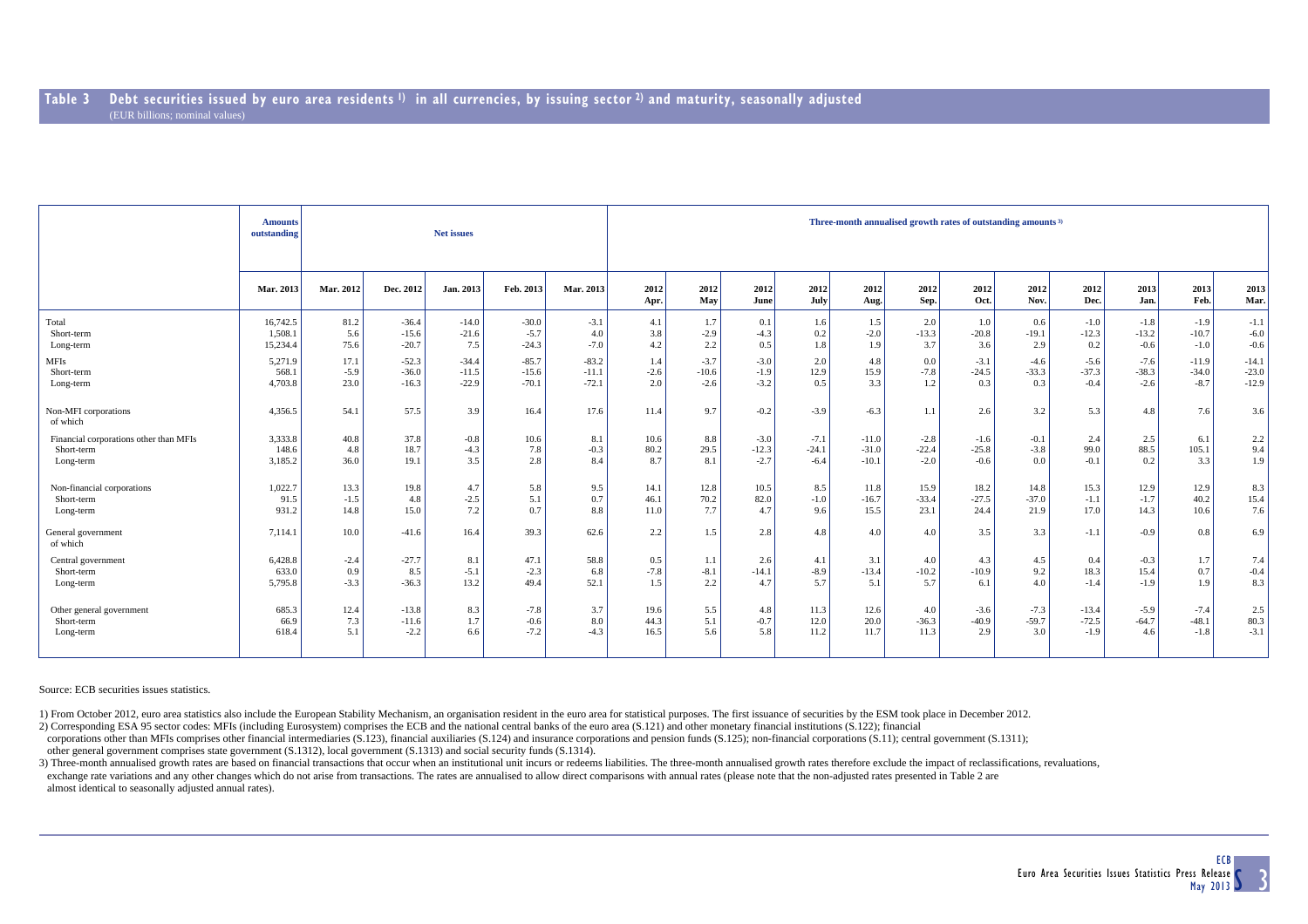|                                        | <b>Amounts</b><br>outstanding |           |           | Net issues |           |           | Three-month annualised growth rates of outstanding amounts <sup>3)</sup> |             |              |              |              |              |              |              |              |              |              |              |  |  |  |
|----------------------------------------|-------------------------------|-----------|-----------|------------|-----------|-----------|--------------------------------------------------------------------------|-------------|--------------|--------------|--------------|--------------|--------------|--------------|--------------|--------------|--------------|--------------|--|--|--|
|                                        | Mar. 2013                     | Mar. 2012 | Dec. 2012 | Jan. 2013  | Feb. 2013 | Mar. 2013 | 2012<br>Apr.                                                             | 2012<br>May | 2012<br>June | 2012<br>July | 2012<br>Aug. | 2012<br>Sep. | 2012<br>Oct. | 2012<br>Nov. | 2012<br>Dec. | 2013<br>Jan. | 2013<br>Feb. | 2013<br>Mar. |  |  |  |
| Total                                  | 16,742.5                      | 81.2      | $-36.4$   | $-14.0$    | $-30.0$   | $-3.1$    | 4.1                                                                      | 1.7         | 0.1          | 1.6          | 1.5          | 2.0          | 1.0          | 0.6          | $-1.0$       | $-1.8$       | $-1.9$       | $-1.1$       |  |  |  |
| Short-term                             | 1,508.1                       | 5.6       | $-15.6$   | $-21.6$    | $-5.7$    | 4.0       | 3.8                                                                      | $-2.9$      | $-4.3$       | 0.2          | $-2.0$       | $-13.3$      | $-20.8$      | $-19.1$      | $-12.3$      | $-13.2$      | $-10.7$      | $-6.0$       |  |  |  |
| Long-term                              | 15,234.4                      | 75.6      | $-20.7$   | 7.5        | $-24.3$   | $-7.0$    | 4.2                                                                      | 2.2         | 0.5          | 1.8          | 1.9          | 3.7          | 3.6          | 2.9          | 0.2          | $-0.6$       | $-1.0$       | $-0.6$       |  |  |  |
| <b>MFIs</b>                            | 5,271.9                       | 17.1      | $-52.3$   | $-34.4$    | $-85.7$   | $-83.2$   | 1.4                                                                      | $-3.7$      | $-3.0$       | 2.0          | 4.8          | 0.0          | $-3.1$       | $-4.6$       | $-5.6$       | $-7.6$       | $-11.9$      | $-14.1$      |  |  |  |
| Short-term                             | 568.1                         | $-5.9$    | $-36.0$   | $-11.5$    | $-15.6$   | $-11.1$   | $-2.6$                                                                   | $-10.6$     | $-1.9$       | 12.9         | 15.9         | $-7.8$       | $-24.5$      | $-33.3$      | $-37.3$      | $-38.3$      | $-34.0$      | $-23.0$      |  |  |  |
| Long-term                              | 4,703.8                       | 23.0      | $-16.3$   | $-22.9$    | $-70.1$   | $-72.1$   | 2.0                                                                      | $-2.6$      | $-3.2$       | 0.5          | 3.3          | 1.2          | 0.3          | 0.3          | $-0.4$       | $-2.6$       | $-8.7$       | $-12.9$      |  |  |  |
| Non-MFI corporations<br>of which       | 4,356.5                       | 54.1      | 57.5      | 3.9        | 16.4      | 17.6      | 11.4                                                                     | 9.7         | $-0.2$       | $-3.9$       | $-6.3$       | 1.1          | 2.6          | 3.2          | 5.3          | 4.8          | 7.6          | 3.6          |  |  |  |
| Financial corporations other than MFIs | 3,333.8                       | 40.8      | 37.8      | $-0.8$     | 10.6      | 8.1       | 10.6                                                                     | 8.8         | $-3.0$       | $-7.1$       | $-11.0$      | $-2.8$       | $-1.6$       | $-0.1$       | 2.4          | 2.5          | 6.1          | 2.2          |  |  |  |
| Short-term                             | 148.6                         | 4.8       | 18.7      | $-4.3$     | 7.8       | $-0.3$    | 80.2                                                                     | 29.5        | $-12.3$      | $-24.1$      | $-31.0$      | $-22.4$      | $-25.8$      | $-3.8$       | 99.0         | 88.5         | 105.1        | 9.4          |  |  |  |
| Long-term                              | 3,185.2                       | 36.0      | 19.1      | 3.5        | 2.8       | 8.4       | 8.7                                                                      | 8.1         | $-2.7$       | $-6.4$       | $-10.1$      | $-2.0$       | $-0.6$       | 0.0          | $-0.1$       | 0.2          | 3.3          | 1.9          |  |  |  |
| Non-financial corporations             | 1,022.7                       | 13.3      | 19.8      | 4.7        | 5.8       | 9.5       | 14.1                                                                     | 12.8        | 10.5         | 8.5          | 11.8         | 15.9         | 18.2         | 14.8         | 15.3         | 12.9         | 12.9         | 8.3          |  |  |  |
| Short-term                             | 91.5                          | $-1.5$    | 4.8       | $-2.5$     | 5.1       | 0.7       | 46.1                                                                     | 70.2        | 82.0         | $-1.0$       | $-16.7$      | $-33.4$      | $-27.5$      | $-37.0$      | $-1.1$       | $-1.7$       | 40.2         | 15.4         |  |  |  |
| Long-term                              | 931.2                         | 14.8      | 15.0      | 7.2        | 0.7       | 8.8       | 11.0                                                                     | 7.7         | 4.7          | 9.6          | 15.5         | 23.1         | 24.4         | 21.9         | 17.0         | 14.3         | 10.6         | 7.6          |  |  |  |
| General government<br>of which         | 7,114.1                       | 10.0      | $-41.6$   | 16.4       | 39.3      | 62.6      | 2.2                                                                      | 1.5         | 2.8          | 4.8          | 4.0          | 4.0          | 3.5          | 3.3          | $-1.1$       | $-0.9$       | 0.8          | 6.9          |  |  |  |
| Central government                     | 6,428.8                       | $-2.4$    | $-27.7$   | 8.1        | 47.1      | 58.8      | 0.5                                                                      | 1.1         | 2.6          | 4.1          | 3.1          | 4.0          | 4.3          | 4.5          | 0.4          | $-0.3$       | 1.7          | 7.4          |  |  |  |
| Short-term                             | 633.0                         | 0.9       | 8.5       | $-5.1$     | $-2.3$    | 6.8       | $-7.8$                                                                   | $-8.1$      | $-14.1$      | $-8.9$       | $-13.4$      | $-10.2$      | $-10.9$      | 9.2          | 18.3         | 15.4         | 0.7          | $-0.4$       |  |  |  |
| Long-term                              | 5,795.8                       | $-3.3$    | $-36.3$   | 13.2       | 49.4      | 52.1      | 1.5                                                                      | 2.2         | 4.7          | 5.7          | 5.1          | 5.7          | 6.1          | 4.0          | $-1.4$       | $-1.9$       | 1.9          | 8.3          |  |  |  |
| Other general government               | 685.3                         | 12.4      | $-13.8$   | 8.3        | $-7.8$    | 3.7       | 19.6                                                                     | 5.5         | 4.8          | 11.3         | 12.6         | 4.0          | $-3.6$       | $-7.3$       | $-13.4$      | $-5.9$       | $-7.4$       | 2.5          |  |  |  |
| Short-term                             | 66.9                          | 7.3       | $-11.6$   | 1.7        | $-0.6$    | 8.0       | 44.3                                                                     | 5.1         | $-0.7$       | 12.0         | 20.0         | $-36.3$      | $-40.9$      | $-59.7$      | $-72.5$      | $-64.7$      | $-48.1$      | 80.3         |  |  |  |
| Long-term                              | 618.4                         | 5.1       | $-2.2$    | 6.6        | $-7.2$    | $-4.3$    | 16.5                                                                     | 5.6         | 5.8          | 11.2         | 11.7         | 11.3         | 2.9          | 3.0          | $-1.9$       | 4.6          | $-1.8$       | $-3.1$       |  |  |  |

Source: ECB securities issues statistics.

1) From October 2012, euro area statistics also include the European Stability Mechanism, an organisation resident in the euro area for statistical purposes. The first issuance of securities by the ESM took place in Decemb

2) Corresponding ESA 95 sector codes: MFIs (including Eurosystem) comprises the ECB and the national central banks of the euro area (S.121) and other monetary financial institutions (S.122); financial

corporations other than MFIs comprises other financial intermediaries (S.123), financial auxiliaries (S.124) and insurance corporations and pension funds (S.125); non-financial corporations (S.11); central government (S.13 other general government comprises state government (S.1312), local government (S.1313) and social security funds (S.1314).

3) Three-month annualised growth rates are based on financial transactions that occur when an institutional unit incurs or redeems liabilities. The three-month annualised growth rates therefore exclude the impact of reclas

exchange rate variations and any other changes which do not arise from transactions. The rates are annualised to allow direct comparisons with annual rates (please note that the non-adjusted rates presented in Table 2 are almost identical to seasonally adjusted annual rates).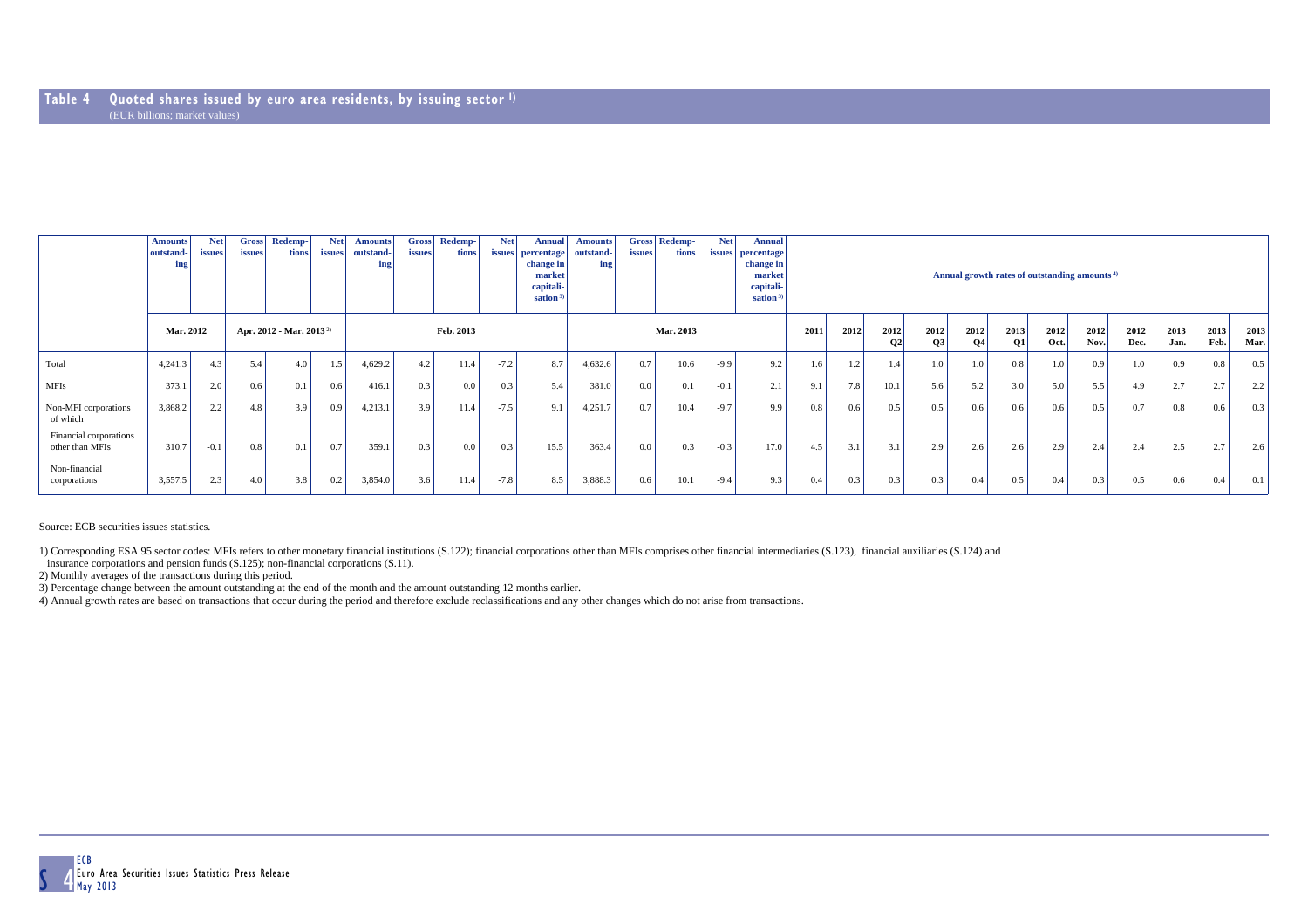|                                           | <b>Amounts</b><br>outstand-<br>ing                      | <b>Net</b><br>issues | <b>Gross</b><br><i>issues</i> | Redemp-<br>tions | <b>Net</b><br>issues | <b>Amounts</b><br>outstand-<br>ing | <b>Gross</b><br><i>issues</i> | Redemp-<br>tions | <b>Net</b><br><i>issues</i> | Annual<br>percentage<br>change in<br>market<br>capitali-<br>sation $3$ | <b>Amounts</b><br>outstand-<br>ing | <b>Gross</b><br><i>issues</i> | Redemp-<br>tions | <b>Net</b><br><i>issues</i> | <b>Annual</b><br>percentage<br>change in<br>market<br>capitali-<br>sation <sup>3</sup> | Annual growth rates of outstanding amounts <sup>4)</sup> |      |             |            |                   |                  |                  |              |              |              |              |              |
|-------------------------------------------|---------------------------------------------------------|----------------------|-------------------------------|------------------|----------------------|------------------------------------|-------------------------------|------------------|-----------------------------|------------------------------------------------------------------------|------------------------------------|-------------------------------|------------------|-----------------------------|----------------------------------------------------------------------------------------|----------------------------------------------------------|------|-------------|------------|-------------------|------------------|------------------|--------------|--------------|--------------|--------------|--------------|
|                                           | <b>Mar. 2012</b><br>Apr. 2012 - Mar. 2013 <sup>2)</sup> |                      |                               |                  |                      |                                    |                               | Feb. 2013        |                             |                                                                        |                                    |                               | Mar. 2013        |                             |                                                                                        | 2011                                                     | 2012 | 2012<br> 02 | 2012<br>O3 | 2012<br><b>O4</b> | 2013<br>O1       | 2012<br>Oct.     | 2012<br>Nov. | 2012<br>Dec. | 2013<br>Jan. | 2013<br>Feb. | 2013<br>Mar. |
| Total                                     | 4,241.3                                                 | 4.3                  | 5.4                           | 4.0              | 1.5                  | 4,629.2                            | 4.2                           | 11.4             | $-7.2$                      | 8.7                                                                    | 4,632.6                            | 0.7                           | 10.6             | $-9.9$                      | 9.2                                                                                    | 1.6                                                      | 1.2  | 1.4         | 1.0        | 1.0               | 0.8              | 1.0              | 0.9          | 1.0          | 0.9          | 0.8          | 0.5          |
| <b>MFIs</b>                               | 373.1                                                   | 2.0                  | 0.6                           | 0.1              | 0.6                  | 416.1                              | 0.3                           | 0.0              | 0.3                         | 5.4                                                                    | 381.0                              | 0.0                           | 0.1              | $-0.1$                      | 2.1                                                                                    | 9.1                                                      | 7.8  | 10.1        | 5.6        | 5.2               | 3.0              | 5.0              | 5.5          | 4.9          | 2.7          | 2.7          | 2.2          |
| Non-MFI corporations<br>of which          | 3,868.2                                                 | 2.2                  | 4.8                           | 3.9 <sub>1</sub> | 0.9                  | 4,213.1                            | 3.9                           | 11.4             | $-7.5$                      | 9.1                                                                    | 4,251.7                            | 0.7                           | 10.4             | $-9.7$                      | 9.9                                                                                    | 0.8                                                      | 0.6  | 0.5         | 0.5        | 0.6               | 0.6 <sub>1</sub> | 0.6              | 0.5          | 0.7          | 0.8          | 0.6          | 0.3          |
| Financial corporations<br>other than MFIs | 310.7                                                   | $-0.1$               | 0.8                           | 0.1              | 0.7                  | 359.1                              | 0.3                           | 0.0              | 0.3                         | 15.5                                                                   | 363.4                              | 0.0                           | 0.3 <sub>1</sub> | $-0.3$                      | 17.0                                                                                   | 4.5                                                      | 3.1  | 3.1         | 2.9        | 2.6               | 2.6 <sub>1</sub> | 2.9 <sub>1</sub> | 2.4          | 2.4          | 2.5          | 2.7          | 2.6          |
| Non-financial<br>corporations             | 3,557.5                                                 | 2.3                  | 4.0                           | 3.8              | 0.2                  | 3,854.0                            | 3.6                           | 11.4             | $-7.8$                      | 8.5                                                                    | 3,888.3                            | 0.6                           | 10.1             | $-9.4$                      | 9.3                                                                                    | 0.4                                                      | 0.3  | 0.3         | 0.3        | 0.4               | 0.5              | 0.4              | 0.3          | 0.5          | 0.6          | 0.4          | 0.1          |

Source: ECB securities issues statistics.

1) Corresponding ESA 95 sector codes: MFIs refers to other monetary financial institutions (S.122); financial corporations other than MFIs comprises other financial intermediaries (S.123), financial auxiliaries (S.124) and

insurance corporations and pension funds (S.125); non-financial corporations (S.11).

2) Monthly averages of the transactions during this period.

3) Percentage change between the amount outstanding at the end of the month and the amount outstanding 12 months earlier.

4) Annual growth rates are based on transactions that occur during the period and therefore exclude reclassifications and any other changes which do not arise from transactions.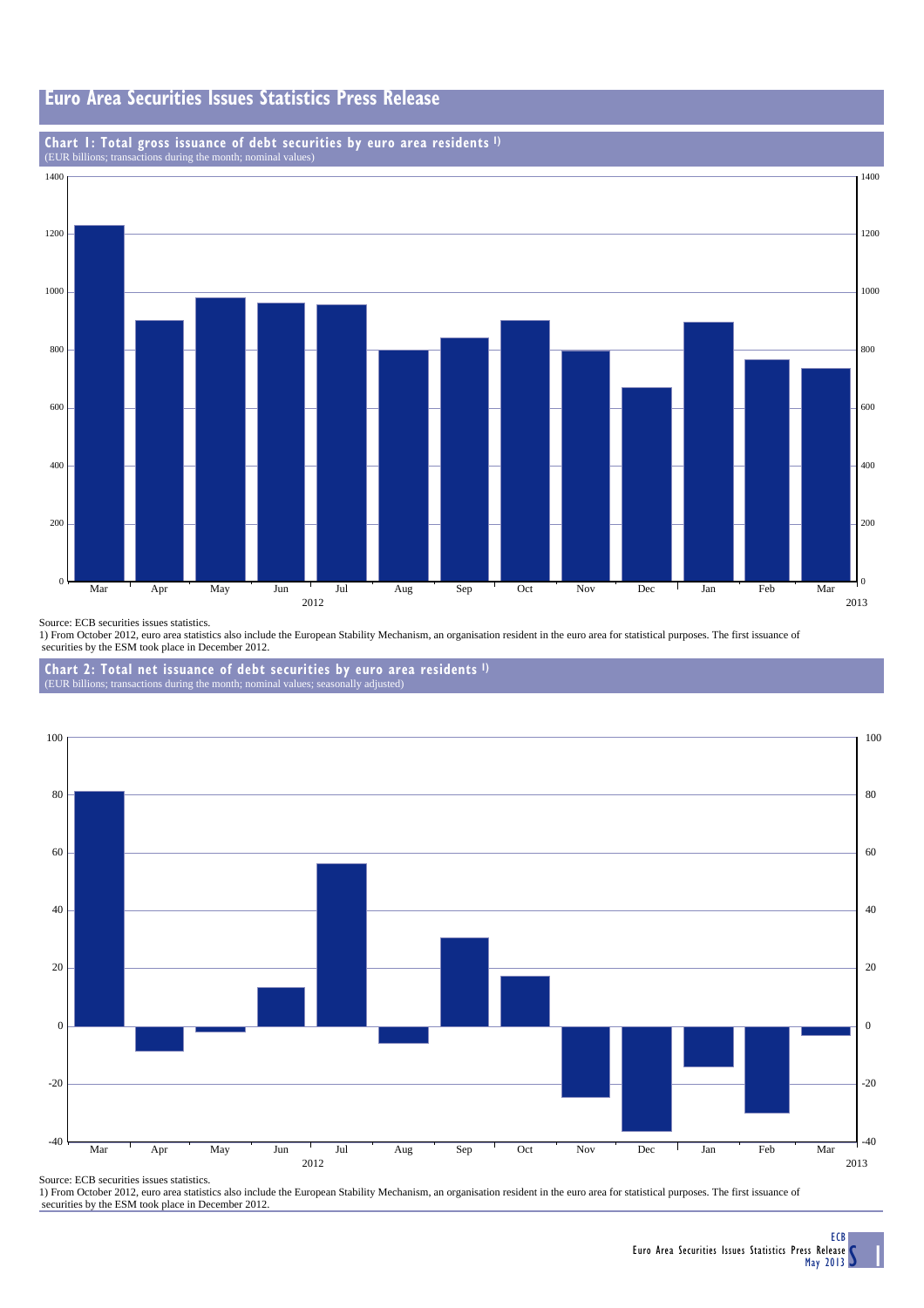## **Euro Area Securities Issues Statistics Press Release**

# **Chart 1: Total gross issuance of debt securities by euro area residents 1)** (EUR billions; transactions during the month; nominal values)



Source: ECB securities issues statistics.

1) From October 2012, euro area statistics also include the European Stability Mechanism, an organisation resident in the euro area for statistical purposes. The first issuance of securities by the ESM took place in December 2012.

**Chart 2: Total net issuance of debt securities by euro area residents 1)**



Source: ECB securities issues statistics.

1) From October 2012, euro area statistics also include the European Stability Mechanism, an organisation resident in the euro area for statistical purposes. The first issuance of securities by the ESM took place in December 2012.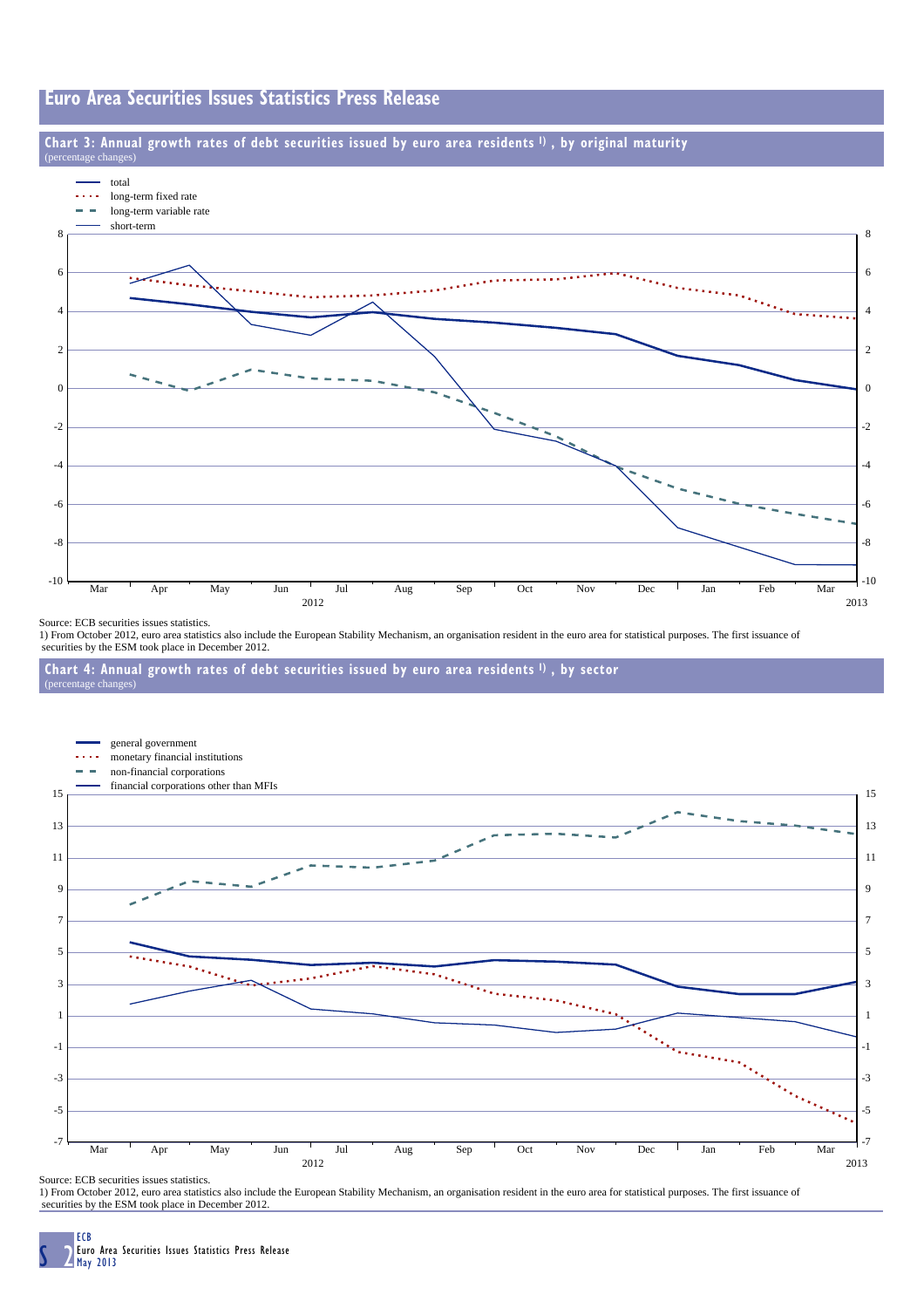## **Euro Area Securities Issues Statistics Press Release**

### **Chart 3: Annual growth rates of debt securities issued by euro area residents 1) , by original maturity**



Source: ECB securities issues statistics.

 $rech$ 

1) From October 2012, euro area statistics also include the European Stability Mechanism, an organisation resident in the euro area for statistical purposes. The first issuance of securities by the ESM took place in December 2012.





Source: ECB securities issues statistics.

1) From October 2012, euro area statistics also include the European Stability Mechanism, an organisation resident in the euro area for statistical purposes. The first issuance of securities by the ESM took place in December 2012.